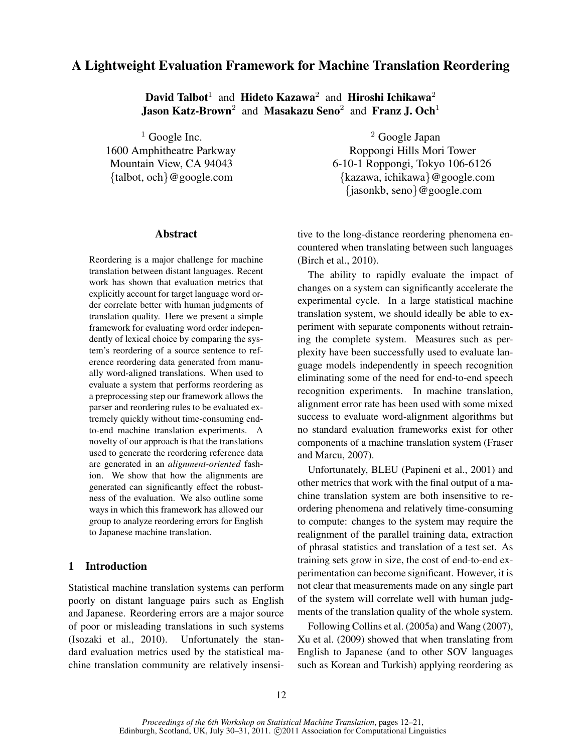# A Lightweight Evaluation Framework for Machine Translation Reordering

David Talbot $^1$  and Hideto Kazawa $^2$  and Hiroshi Ichikawa $^2$ **Jason Katz-Brown**<sup>2</sup> and Masakazu Seno<sup>2</sup> and Franz J. Och<sup>1</sup>

<sup>1</sup> Google Inc.  $\frac{2}{3}$  Google Japan 1600 Amphitheatre Parkway Roppongi Hills Mori Tower Mountain View, CA 94043 6-10-1 Roppongi, Tokyo 106-6126 {talbot, och}@google.com {kazawa, ichikawa}@google.com {jasonkb, seno}@google.com

# Abstract

Reordering is a major challenge for machine translation between distant languages. Recent work has shown that evaluation metrics that explicitly account for target language word order correlate better with human judgments of translation quality. Here we present a simple framework for evaluating word order independently of lexical choice by comparing the system's reordering of a source sentence to reference reordering data generated from manually word-aligned translations. When used to evaluate a system that performs reordering as a preprocessing step our framework allows the parser and reordering rules to be evaluated extremely quickly without time-consuming endto-end machine translation experiments. A novelty of our approach is that the translations used to generate the reordering reference data are generated in an *alignment-oriented* fashion. We show that how the alignments are generated can significantly effect the robustness of the evaluation. We also outline some ways in which this framework has allowed our group to analyze reordering errors for English to Japanese machine translation.

# 1 Introduction

Statistical machine translation systems can perform poorly on distant language pairs such as English and Japanese. Reordering errors are a major source of poor or misleading translations in such systems (Isozaki et al., 2010). Unfortunately the standard evaluation metrics used by the statistical machine translation community are relatively insensitive to the long-distance reordering phenomena encountered when translating between such languages (Birch et al., 2010).

The ability to rapidly evaluate the impact of changes on a system can significantly accelerate the experimental cycle. In a large statistical machine translation system, we should ideally be able to experiment with separate components without retraining the complete system. Measures such as perplexity have been successfully used to evaluate language models independently in speech recognition eliminating some of the need for end-to-end speech recognition experiments. In machine translation, alignment error rate has been used with some mixed success to evaluate word-alignment algorithms but no standard evaluation frameworks exist for other components of a machine translation system (Fraser and Marcu, 2007).

Unfortunately, BLEU (Papineni et al., 2001) and other metrics that work with the final output of a machine translation system are both insensitive to reordering phenomena and relatively time-consuming to compute: changes to the system may require the realignment of the parallel training data, extraction of phrasal statistics and translation of a test set. As training sets grow in size, the cost of end-to-end experimentation can become significant. However, it is not clear that measurements made on any single part of the system will correlate well with human judgments of the translation quality of the whole system.

Following Collins et al. (2005a) and Wang (2007), Xu et al. (2009) showed that when translating from English to Japanese (and to other SOV languages such as Korean and Turkish) applying reordering as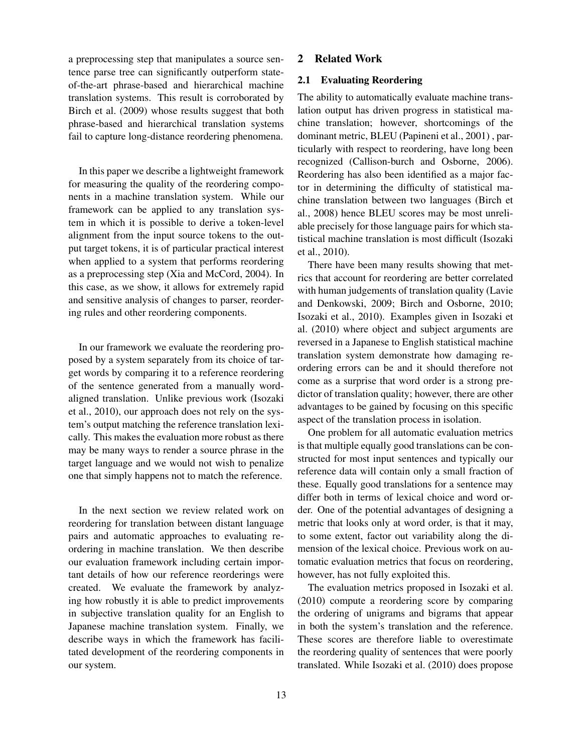a preprocessing step that manipulates a source sentence parse tree can significantly outperform stateof-the-art phrase-based and hierarchical machine translation systems. This result is corroborated by Birch et al. (2009) whose results suggest that both phrase-based and hierarchical translation systems fail to capture long-distance reordering phenomena.

In this paper we describe a lightweight framework for measuring the quality of the reordering components in a machine translation system. While our framework can be applied to any translation system in which it is possible to derive a token-level alignment from the input source tokens to the output target tokens, it is of particular practical interest when applied to a system that performs reordering as a preprocessing step (Xia and McCord, 2004). In this case, as we show, it allows for extremely rapid and sensitive analysis of changes to parser, reordering rules and other reordering components.

In our framework we evaluate the reordering proposed by a system separately from its choice of target words by comparing it to a reference reordering of the sentence generated from a manually wordaligned translation. Unlike previous work (Isozaki et al., 2010), our approach does not rely on the system's output matching the reference translation lexically. This makes the evaluation more robust as there may be many ways to render a source phrase in the target language and we would not wish to penalize one that simply happens not to match the reference.

In the next section we review related work on reordering for translation between distant language pairs and automatic approaches to evaluating reordering in machine translation. We then describe our evaluation framework including certain important details of how our reference reorderings were created. We evaluate the framework by analyzing how robustly it is able to predict improvements in subjective translation quality for an English to Japanese machine translation system. Finally, we describe ways in which the framework has facilitated development of the reordering components in our system.

# 2 Related Work

# 2.1 Evaluating Reordering

The ability to automatically evaluate machine translation output has driven progress in statistical machine translation; however, shortcomings of the dominant metric, BLEU (Papineni et al., 2001) , particularly with respect to reordering, have long been recognized (Callison-burch and Osborne, 2006). Reordering has also been identified as a major factor in determining the difficulty of statistical machine translation between two languages (Birch et al., 2008) hence BLEU scores may be most unreliable precisely for those language pairs for which statistical machine translation is most difficult (Isozaki et al., 2010).

There have been many results showing that metrics that account for reordering are better correlated with human judgements of translation quality (Lavie and Denkowski, 2009; Birch and Osborne, 2010; Isozaki et al., 2010). Examples given in Isozaki et al. (2010) where object and subject arguments are reversed in a Japanese to English statistical machine translation system demonstrate how damaging reordering errors can be and it should therefore not come as a surprise that word order is a strong predictor of translation quality; however, there are other advantages to be gained by focusing on this specific aspect of the translation process in isolation.

One problem for all automatic evaluation metrics is that multiple equally good translations can be constructed for most input sentences and typically our reference data will contain only a small fraction of these. Equally good translations for a sentence may differ both in terms of lexical choice and word order. One of the potential advantages of designing a metric that looks only at word order, is that it may, to some extent, factor out variability along the dimension of the lexical choice. Previous work on automatic evaluation metrics that focus on reordering, however, has not fully exploited this.

The evaluation metrics proposed in Isozaki et al. (2010) compute a reordering score by comparing the ordering of unigrams and bigrams that appear in both the system's translation and the reference. These scores are therefore liable to overestimate the reordering quality of sentences that were poorly translated. While Isozaki et al. (2010) does propose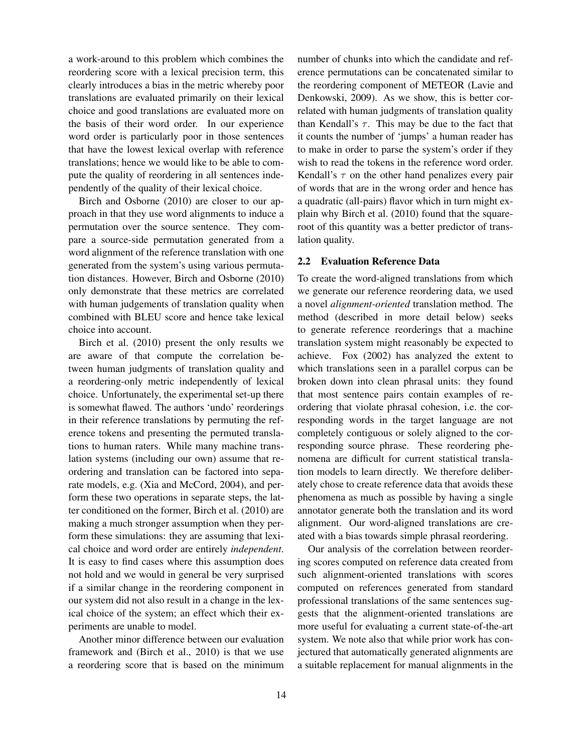a work-around to this problem which combines the reordering score with a lexical precision term, this clearly introduces a bias in the metric whereby poor translations are evaluated primarily on their lexical choice and good translations are evaluated more on the basis of their word order. In our experience word order is particularly poor in those sentences that have the lowest lexical overlap with reference translations; hence we would like to be able to compute the quality of reordering in all sentences independently of the quality of their lexical choice.

Birch and Osborne (2010) are closer to our approach in that they use word alignments to induce a permutation over the source sentence. They compare a source-side permutation generated from a word alignment of the reference translation with one generated from the system's using various permutation distances. However, Birch and Osborne (2010) only demonstrate that these metrics are correlated with human judgements of translation quality when combined with BLEU score and hence take lexical choice into account.

Birch et al. (2010) present the only results we are aware of that compute the correlation between human judgments of translation quality and a reordering-only metric independently of lexical choice. Unfortunately, the experimental set-up there is somewhat flawed. The authors 'undo' reorderings in their reference translations by permuting the reference tokens and presenting the permuted translations to human raters. While many machine translation systems (including our own) assume that reordering and translation can be factored into separate models, e.g. (Xia and McCord, 2004), and perform these two operations in separate steps, the latter conditioned on the former, Birch et al. (2010) are making a much stronger assumption when they perform these simulations: they are assuming that lexical choice and word order are entirely *independent*. It is easy to find cases where this assumption does not hold and we would in general be very surprised if a similar change in the reordering component in our system did not also result in a change in the lexical choice of the system; an effect which their experiments are unable to model.

Another minor difference between our evaluation framework and (Birch et al., 2010) is that we use a reordering score that is based on the minimum number of chunks into which the candidate and reference permutations can be concatenated similar to the reordering component of METEOR (Lavie and Denkowski, 2009). As we show, this is better correlated with human judgments of translation quality than Kendall's  $\tau$ . This may be due to the fact that it counts the number of 'jumps' a human reader has to make in order to parse the system's order if they wish to read the tokens in the reference word order. Kendall's  $\tau$  on the other hand penalizes every pair of words that are in the wrong order and hence has a quadratic (all-pairs) flavor which in turn might explain why Birch et al. (2010) found that the squareroot of this quantity was a better predictor of translation quality.

# 2.2 Evaluation Reference Data

To create the word-aligned translations from which we generate our reference reordering data, we used a novel *alignment-oriented* translation method. The method (described in more detail below) seeks to generate reference reorderings that a machine translation system might reasonably be expected to achieve. Fox (2002) has analyzed the extent to which translations seen in a parallel corpus can be broken down into clean phrasal units: they found that most sentence pairs contain examples of reordering that violate phrasal cohesion, i.e. the corresponding words in the target language are not completely contiguous or solely aligned to the corresponding source phrase. These reordering phenomena are difficult for current statistical translation models to learn directly. We therefore deliberately chose to create reference data that avoids these phenomena as much as possible by having a single annotator generate both the translation and its word alignment. Our word-aligned translations are created with a bias towards simple phrasal reordering.

Our analysis of the correlation between reordering scores computed on reference data created from such alignment-oriented translations with scores computed on references generated from standard professional translations of the same sentences suggests that the alignment-oriented translations are more useful for evaluating a current state-of-the-art system. We note also that while prior work has conjectured that automatically generated alignments are a suitable replacement for manual alignments in the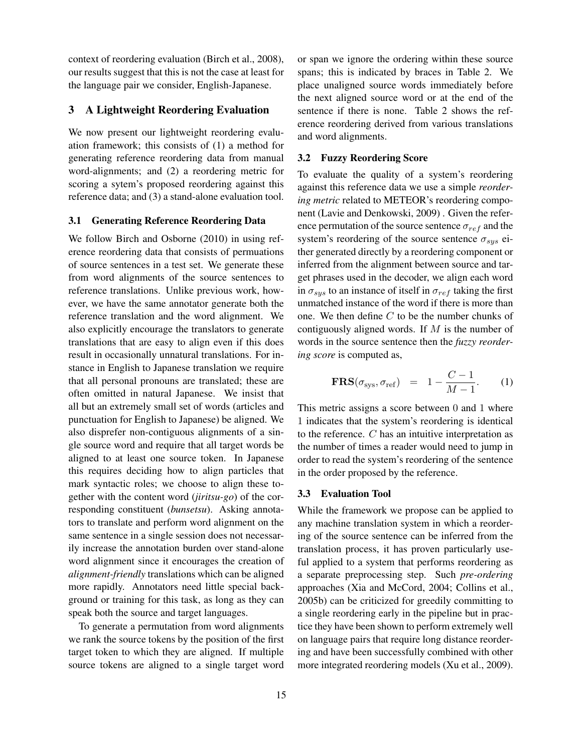context of reordering evaluation (Birch et al., 2008), our results suggest that this is not the case at least for the language pair we consider, English-Japanese.

# 3 A Lightweight Reordering Evaluation

We now present our lightweight reordering evaluation framework; this consists of (1) a method for generating reference reordering data from manual word-alignments; and (2) a reordering metric for scoring a sytem's proposed reordering against this reference data; and (3) a stand-alone evaluation tool.

### 3.1 Generating Reference Reordering Data

We follow Birch and Osborne (2010) in using reference reordering data that consists of permuations of source sentences in a test set. We generate these from word alignments of the source sentences to reference translations. Unlike previous work, however, we have the same annotator generate both the reference translation and the word alignment. We also explicitly encourage the translators to generate translations that are easy to align even if this does result in occasionally unnatural translations. For instance in English to Japanese translation we require that all personal pronouns are translated; these are often omitted in natural Japanese. We insist that all but an extremely small set of words (articles and punctuation for English to Japanese) be aligned. We also disprefer non-contiguous alignments of a single source word and require that all target words be aligned to at least one source token. In Japanese this requires deciding how to align particles that mark syntactic roles; we choose to align these together with the content word (*jiritsu-go*) of the corresponding constituent (*bunsetsu*). Asking annotators to translate and perform word alignment on the same sentence in a single session does not necessarily increase the annotation burden over stand-alone word alignment since it encourages the creation of *alignment-friendly* translations which can be aligned more rapidly. Annotators need little special background or training for this task, as long as they can speak both the source and target languages.

To generate a permutation from word alignments we rank the source tokens by the position of the first target token to which they are aligned. If multiple source tokens are aligned to a single target word or span we ignore the ordering within these source spans; this is indicated by braces in Table 2. We place unaligned source words immediately before the next aligned source word or at the end of the sentence if there is none. Table 2 shows the reference reordering derived from various translations and word alignments.

#### 3.2 Fuzzy Reordering Score

To evaluate the quality of a system's reordering against this reference data we use a simple *reordering metric* related to METEOR's reordering component (Lavie and Denkowski, 2009) . Given the reference permutation of the source sentence  $\sigma_{ref}$  and the system's reordering of the source sentence  $\sigma_{sys}$  either generated directly by a reordering component or inferred from the alignment between source and target phrases used in the decoder, we align each word in  $\sigma_{sys}$  to an instance of itself in  $\sigma_{ref}$  taking the first unmatched instance of the word if there is more than one. We then define C to be the number chunks of contiguously aligned words. If  $M$  is the number of words in the source sentence then the *fuzzy reordering score* is computed as,

$$
FRS(\sigma_{sys}, \sigma_{ref}) = 1 - \frac{C - 1}{M - 1}.
$$
 (1)

This metric assigns a score between 0 and 1 where 1 indicates that the system's reordering is identical to the reference. C has an intuitive interpretation as the number of times a reader would need to jump in order to read the system's reordering of the sentence in the order proposed by the reference.

#### 3.3 Evaluation Tool

While the framework we propose can be applied to any machine translation system in which a reordering of the source sentence can be inferred from the translation process, it has proven particularly useful applied to a system that performs reordering as a separate preprocessing step. Such *pre-ordering* approaches (Xia and McCord, 2004; Collins et al., 2005b) can be criticized for greedily committing to a single reordering early in the pipeline but in practice they have been shown to perform extremely well on language pairs that require long distance reordering and have been successfully combined with other more integrated reordering models (Xu et al., 2009).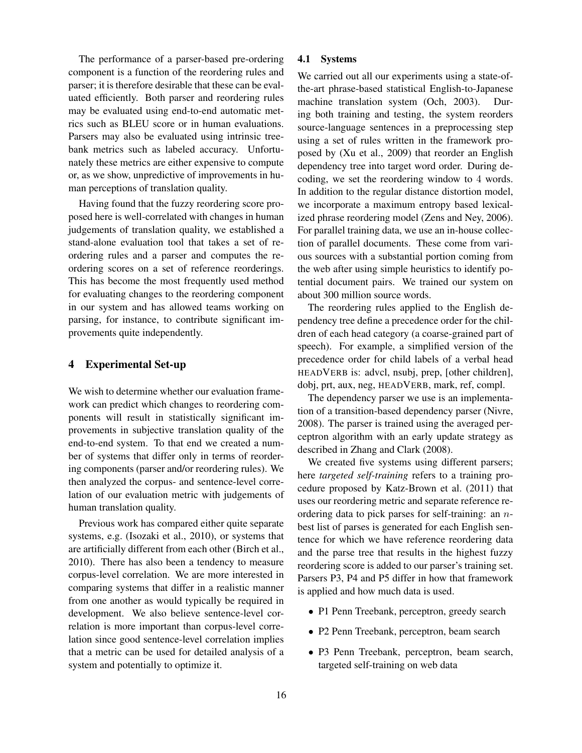The performance of a parser-based pre-ordering component is a function of the reordering rules and parser; it is therefore desirable that these can be evaluated efficiently. Both parser and reordering rules may be evaluated using end-to-end automatic metrics such as BLEU score or in human evaluations. Parsers may also be evaluated using intrinsic treebank metrics such as labeled accuracy. Unfortunately these metrics are either expensive to compute or, as we show, unpredictive of improvements in human perceptions of translation quality.

Having found that the fuzzy reordering score proposed here is well-correlated with changes in human judgements of translation quality, we established a stand-alone evaluation tool that takes a set of reordering rules and a parser and computes the reordering scores on a set of reference reorderings. This has become the most frequently used method for evaluating changes to the reordering component in our system and has allowed teams working on parsing, for instance, to contribute significant improvements quite independently.

# 4 Experimental Set-up

We wish to determine whether our evaluation framework can predict which changes to reordering components will result in statistically significant improvements in subjective translation quality of the end-to-end system. To that end we created a number of systems that differ only in terms of reordering components (parser and/or reordering rules). We then analyzed the corpus- and sentence-level correlation of our evaluation metric with judgements of human translation quality.

Previous work has compared either quite separate systems, e.g. (Isozaki et al., 2010), or systems that are artificially different from each other (Birch et al., 2010). There has also been a tendency to measure corpus-level correlation. We are more interested in comparing systems that differ in a realistic manner from one another as would typically be required in development. We also believe sentence-level correlation is more important than corpus-level correlation since good sentence-level correlation implies that a metric can be used for detailed analysis of a system and potentially to optimize it.

#### 4.1 Systems

We carried out all our experiments using a state-ofthe-art phrase-based statistical English-to-Japanese machine translation system (Och, 2003). During both training and testing, the system reorders source-language sentences in a preprocessing step using a set of rules written in the framework proposed by (Xu et al., 2009) that reorder an English dependency tree into target word order. During decoding, we set the reordering window to 4 words. In addition to the regular distance distortion model, we incorporate a maximum entropy based lexicalized phrase reordering model (Zens and Ney, 2006). For parallel training data, we use an in-house collection of parallel documents. These come from various sources with a substantial portion coming from the web after using simple heuristics to identify potential document pairs. We trained our system on about 300 million source words.

The reordering rules applied to the English dependency tree define a precedence order for the children of each head category (a coarse-grained part of speech). For example, a simplified version of the precedence order for child labels of a verbal head HEADVERB is: advcl, nsubj, prep, [other children], dobj, prt, aux, neg, HEADVERB, mark, ref, compl.

The dependency parser we use is an implementation of a transition-based dependency parser (Nivre, 2008). The parser is trained using the averaged perceptron algorithm with an early update strategy as described in Zhang and Clark (2008).

We created five systems using different parsers; here *targeted self-training* refers to a training procedure proposed by Katz-Brown et al. (2011) that uses our reordering metric and separate reference reordering data to pick parses for self-training: an nbest list of parses is generated for each English sentence for which we have reference reordering data and the parse tree that results in the highest fuzzy reordering score is added to our parser's training set. Parsers P3, P4 and P5 differ in how that framework is applied and how much data is used.

- P1 Penn Treebank, perceptron, greedy search
- P2 Penn Treebank, perceptron, beam search
- P3 Penn Treebank, perceptron, beam search, targeted self-training on web data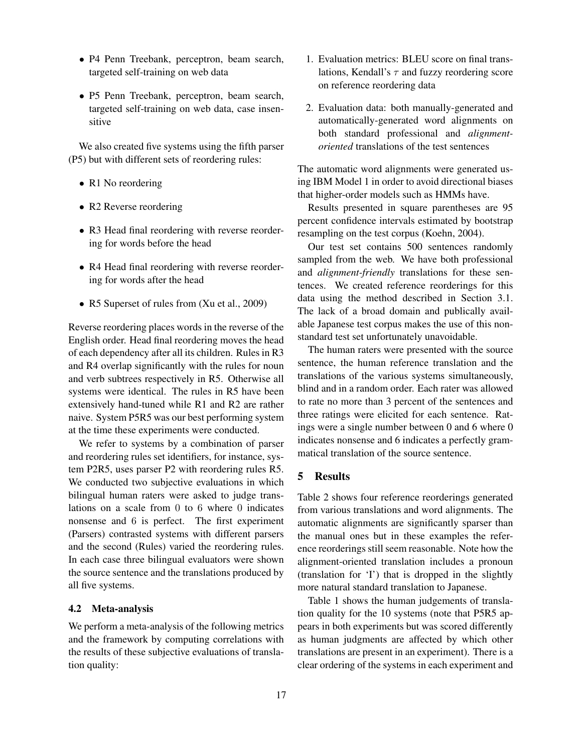- P4 Penn Treebank, perceptron, beam search, targeted self-training on web data
- P5 Penn Treebank, perceptron, beam search, targeted self-training on web data, case insensitive

We also created five systems using the fifth parser (P5) but with different sets of reordering rules:

- R1 No reordering
- R2 Reverse reordering
- R3 Head final reordering with reverse reordering for words before the head
- R4 Head final reordering with reverse reordering for words after the head
- R5 Superset of rules from (Xu et al., 2009)

Reverse reordering places words in the reverse of the English order. Head final reordering moves the head of each dependency after all its children. Rules in R3 and R4 overlap significantly with the rules for noun and verb subtrees respectively in R5. Otherwise all systems were identical. The rules in R5 have been extensively hand-tuned while R1 and R2 are rather naive. System P5R5 was our best performing system at the time these experiments were conducted.

We refer to systems by a combination of parser and reordering rules set identifiers, for instance, system P2R5, uses parser P2 with reordering rules R5. We conducted two subjective evaluations in which bilingual human raters were asked to judge translations on a scale from 0 to 6 where 0 indicates nonsense and 6 is perfect. The first experiment (Parsers) contrasted systems with different parsers and the second (Rules) varied the reordering rules. In each case three bilingual evaluators were shown the source sentence and the translations produced by all five systems.

#### 4.2 Meta-analysis

We perform a meta-analysis of the following metrics and the framework by computing correlations with the results of these subjective evaluations of translation quality:

- 1. Evaluation metrics: BLEU score on final translations, Kendall's  $\tau$  and fuzzy reordering score on reference reordering data
- 2. Evaluation data: both manually-generated and automatically-generated word alignments on both standard professional and *alignmentoriented* translations of the test sentences

The automatic word alignments were generated using IBM Model 1 in order to avoid directional biases that higher-order models such as HMMs have.

Results presented in square parentheses are 95 percent confidence intervals estimated by bootstrap resampling on the test corpus (Koehn, 2004).

Our test set contains 500 sentences randomly sampled from the web. We have both professional and *alignment-friendly* translations for these sentences. We created reference reorderings for this data using the method described in Section 3.1. The lack of a broad domain and publically available Japanese test corpus makes the use of this nonstandard test set unfortunately unavoidable.

The human raters were presented with the source sentence, the human reference translation and the translations of the various systems simultaneously, blind and in a random order. Each rater was allowed to rate no more than 3 percent of the sentences and three ratings were elicited for each sentence. Ratings were a single number between 0 and 6 where 0 indicates nonsense and 6 indicates a perfectly grammatical translation of the source sentence.

# 5 Results

Table 2 shows four reference reorderings generated from various translations and word alignments. The automatic alignments are significantly sparser than the manual ones but in these examples the reference reorderings still seem reasonable. Note how the alignment-oriented translation includes a pronoun (translation for 'I') that is dropped in the slightly more natural standard translation to Japanese.

Table 1 shows the human judgements of translation quality for the 10 systems (note that P5R5 appears in both experiments but was scored differently as human judgments are affected by which other translations are present in an experiment). There is a clear ordering of the systems in each experiment and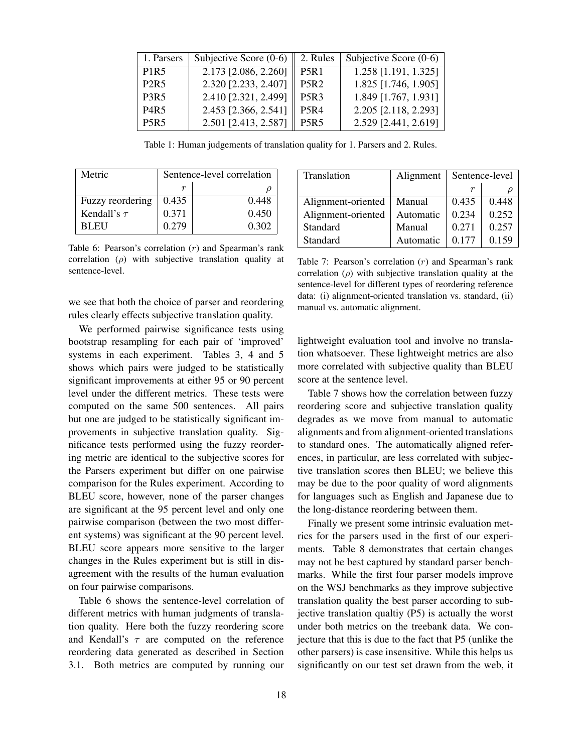| 1. Parsers                    | Subjective Score $(0-6)$ | 2. Rules                      | Subjective Score $(0-6)$ |
|-------------------------------|--------------------------|-------------------------------|--------------------------|
| P <sub>1</sub> R <sub>5</sub> | 2.173 [2.086, 2.260]     | <b>P5R1</b>                   | $1.258$ [1.191, 1.325]   |
| <b>P2R5</b>                   | 2.320 [2.233, 2.407]     | <b>P5R2</b>                   | 1.825 [1.746, 1.905]     |
| <b>P3R5</b>                   | 2.410 [2.321, 2.499]     | P <sub>5</sub> R <sub>3</sub> | 1.849 [1.767, 1.931]     |
| <b>P4R5</b>                   | 2.453 [2.366, 2.541]     | <b>P5R4</b>                   | 2.205 [2.118, 2.293]     |
| P <sub>5</sub> R <sub>5</sub> | 2.501 [2.413, 2.587]     | P <sub>5</sub> R <sub>5</sub> | 2.529 [2.441, 2.619]     |

Table 1: Human judgements of translation quality for 1. Parsers and 2. Rules.

| Metric           | Sentence-level correlation |       |  |  |  |
|------------------|----------------------------|-------|--|--|--|
|                  |                            |       |  |  |  |
| Fuzzy reordering | 0.435                      | 0.448 |  |  |  |
| Kendall's $\tau$ | 0.371                      | 0.450 |  |  |  |
| BL EU            | 0.279                      | 0.302 |  |  |  |

Table 6: Pearson's correlation (r) and Spearman's rank correlation  $(\rho)$  with subjective translation quality at sentence-level.

we see that both the choice of parser and reordering rules clearly effects subjective translation quality.

We performed pairwise significance tests using bootstrap resampling for each pair of 'improved' systems in each experiment. Tables 3, 4 and 5 shows which pairs were judged to be statistically significant improvements at either 95 or 90 percent level under the different metrics. These tests were computed on the same 500 sentences. All pairs but one are judged to be statistically significant improvements in subjective translation quality. Significance tests performed using the fuzzy reordering metric are identical to the subjective scores for the Parsers experiment but differ on one pairwise comparison for the Rules experiment. According to BLEU score, however, none of the parser changes are significant at the 95 percent level and only one pairwise comparison (between the two most different systems) was significant at the 90 percent level. BLEU score appears more sensitive to the larger changes in the Rules experiment but is still in disagreement with the results of the human evaluation on four pairwise comparisons.

Table 6 shows the sentence-level correlation of different metrics with human judgments of translation quality. Here both the fuzzy reordering score and Kendall's  $\tau$  are computed on the reference reordering data generated as described in Section 3.1. Both metrics are computed by running our

| Translation        | Alignment | Sentence-level |       |
|--------------------|-----------|----------------|-------|
|                    |           | r              |       |
| Alignment-oriented | Manual    | 0.435          | 0.448 |
| Alignment-oriented | Automatic | 0.234          | 0.252 |
| Standard           | Manual    | 0.271          | 0.257 |
| Standard           | Automatic | 0 177          | 0.159 |

Table 7: Pearson's correlation  $(r)$  and Spearman's rank correlation  $(\rho)$  with subjective translation quality at the sentence-level for different types of reordering reference data: (i) alignment-oriented translation vs. standard, (ii) manual vs. automatic alignment.

lightweight evaluation tool and involve no translation whatsoever. These lightweight metrics are also more correlated with subjective quality than BLEU score at the sentence level.

Table 7 shows how the correlation between fuzzy reordering score and subjective translation quality degrades as we move from manual to automatic alignments and from alignment-oriented translations to standard ones. The automatically aligned references, in particular, are less correlated with subjective translation scores then BLEU; we believe this may be due to the poor quality of word alignments for languages such as English and Japanese due to the long-distance reordering between them.

Finally we present some intrinsic evaluation metrics for the parsers used in the first of our experiments. Table 8 demonstrates that certain changes may not be best captured by standard parser benchmarks. While the first four parser models improve on the WSJ benchmarks as they improve subjective translation quality the best parser according to subjective translation qualtiy (P5) is actually the worst under both metrics on the treebank data. We conjecture that this is due to the fact that P5 (unlike the other parsers) is case insensitive. While this helps us significantly on our test set drawn from the web, it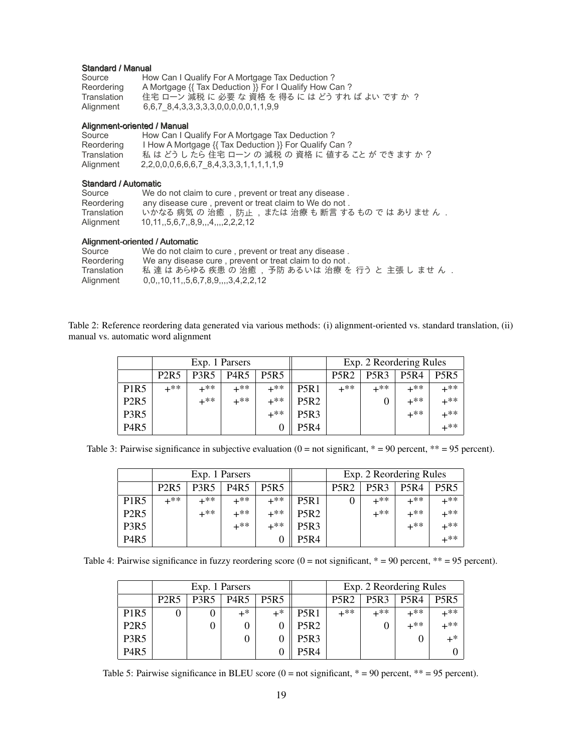#### Standard / Manual

| Source      | How Can I Qualify For A Mortgage Tax Deduction ?      |
|-------------|-------------------------------------------------------|
| Reordering  | A Mortgage {{ Tax Deduction }} For I Qualify How Can? |
| Translation | 住宅 ローン 減税 に 必要 な 資格 を 得る に は どう すれ ば よい です か ?        |
| Alignment   | 6,6,7 8,4,3,3,3,3,3,0,0,0,0,0,1,1,9,9                 |

#### Alignment-oriented / Manual

| Source      | How Can I Qualify For A Mortgage Tax Deduction?           |
|-------------|-----------------------------------------------------------|
| Reordering  | I How A Mortgage {{ Tax Deduction }} For Qualify Can ?    |
| Translation | 私 はどうしたら住宅 ローン の 減税 の 資格 に 値すること が できます か ?               |
| Alignment   | 2, 2, 0, 0, 0, 6, 6, 6, 7 8, 4, 3, 3, 3, 1, 1, 1, 1, 1, 9 |

#### Standard / Automatic

| Source      | We do not claim to cure, prevent or treat any disease. |
|-------------|--------------------------------------------------------|
| Reordering  | any disease cure, prevent or treat claim to We do not. |
| Translation | いかなる 病気 の 治癒, 防止, または 治療 も 断言 する もの で は ありませ ん.        |
| Alignment   | 10, 11, 5, 6, 7, 8, 9, 4, 2, 2, 2, 12                  |

#### Alignment-oriented / Automatic

| Source      | We do not claim to cure, prevent or treat any disease. |
|-------------|--------------------------------------------------------|
| Reordering  | We any disease cure, prevent or treat claim to do not. |
| Translation | 私 達 は あらゆる 疾患 の 治癒 ,予防 あるいは 治療 を 行う と 主張 し ませ ん .      |
| Alignment   | $0,0,10,11,5,6,7,8,9,$ ,,,,3,4,2,2,12                  |

Table 2: Reference reordering data generated via various methods: (i) alignment-oriented vs. standard translation, (ii) manual vs. automatic word alignment

|                               |             |             | Exp. 1 Parsers |                               |                  | Exp. 2 Reordering Rules |                               |             |             |
|-------------------------------|-------------|-------------|----------------|-------------------------------|------------------|-------------------------|-------------------------------|-------------|-------------|
|                               | <b>P2R5</b> | <b>P3R5</b> | <b>P4R5</b>    | P <sub>5</sub> R <sub>5</sub> |                  | <b>P5R2</b>             | P <sub>5</sub> R <sub>3</sub> | <b>P5R4</b> | <b>P5R5</b> |
| P <sub>1</sub> R <sub>5</sub> | $+**$       | +**         | +**            | $+***$                        | <b>P5R1</b>      | $+**$                   | $+**$                         | $+**$       | +**         |
| P <sub>2</sub> R <sub>5</sub> |             | +**         | $+**$          | $+***$                        | <b>P5R2</b>      |                         |                               | $+**$       | +**         |
| P <sub>3</sub> R <sub>5</sub> |             |             |                | $+***$                        | P <sub>5R3</sub> |                         |                               | $+**$       | $+**$       |
| P <sub>4</sub> R <sub>5</sub> |             |             |                |                               | <b>P5R4</b>      |                         |                               |             | $+**$       |

Table 3: Pairwise significance in subjective evaluation  $(0 = not significant, * = 90 percent, ** = 95 percent)$ .

|                               |                               |                               | Exp. 1 Parsers |             |                               | Exp. 2 Reordering Rules |             |             |             |
|-------------------------------|-------------------------------|-------------------------------|----------------|-------------|-------------------------------|-------------------------|-------------|-------------|-------------|
|                               | P <sub>2</sub> R <sub>5</sub> | P <sub>3</sub> R <sub>5</sub> | <b>P4R5</b>    | <b>P5R5</b> |                               | <b>P5R2</b>             | <b>P5R3</b> | <b>P5R4</b> | <b>P5R5</b> |
| P <sub>1</sub> R <sub>5</sub> | ⊥**                           | ⊥**                           | +**            | $+**$       | P <sub>5</sub> R <sub>1</sub> |                         | $+**$       | $+**$       | $+**$       |
| <b>P2R5</b>                   |                               | $+**$                         | $+**$          | $+**$       | <b>P5R2</b>                   |                         | $+**$       | $+**$       | $+**$       |
| P <sub>3</sub> R <sub>5</sub> |                               |                               | $+**$          | $+**$       | P <sub>5R3</sub>              |                         |             | $+**$       | $+**$       |
| P <sub>4</sub> R <sub>5</sub> |                               |                               |                |             | <b>P5R4</b>                   |                         |             |             | $+**$       |

Table 4: Pairwise significance in fuzzy reordering score  $(0 = not significant, * = 90 percent, ** = 95 percent)$ .

|                               |                               |                               | Exp. 1 Parsers |             |                  | Exp. 2 Reordering Rules |                               |                               |             |
|-------------------------------|-------------------------------|-------------------------------|----------------|-------------|------------------|-------------------------|-------------------------------|-------------------------------|-------------|
|                               | P <sub>2</sub> R <sub>5</sub> | P <sub>3</sub> R <sub>5</sub> | <b>P4R5</b>    | <b>P5R5</b> |                  | <b>P5R2</b>             | P <sub>5</sub> R <sub>3</sub> | P <sub>5</sub> R <sub>4</sub> | <b>P5R5</b> |
| P <sub>1</sub> R <sub>5</sub> |                               |                               | $+$ *          | $+^*$       | P5R1             | +**                     | $+**$                         | $+**$                         | $+**$       |
| P <sub>2</sub> R <sub>5</sub> |                               |                               | 0              |             | <b>P5R2</b>      |                         |                               | $+**$                         | $+$ **      |
| P <sub>3</sub> R <sub>5</sub> |                               |                               | 0              |             | P <sub>5R3</sub> |                         |                               |                               | $+^*$       |
| <b>P4R5</b>                   |                               |                               |                |             | P5R4             |                         |                               |                               |             |

Table 5: Pairwise significance in BLEU score  $(0 = not significant, * = 90 percent, ** = 95 percent)$ .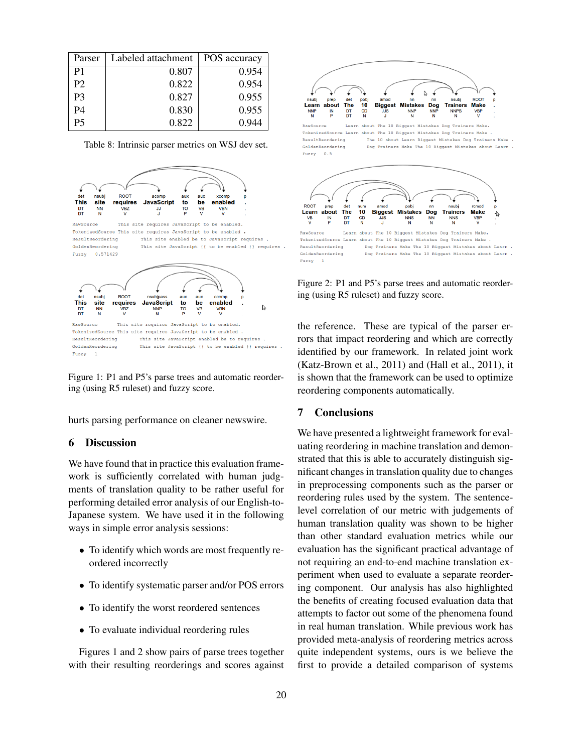| Parser         | Labeled attachment | POS accuracy |
|----------------|--------------------|--------------|
| P1             | 0.807              | 0.954        |
| P2             | 0.822              | 0.954        |
| P <sub>3</sub> | 0.827              | 0.955        |
| P4             | 0.830              | 0.955        |
| P5             | 0.822              | 0.944        |

Table 8: Intrinsic parser metrics on WSJ dev set.



Figure 1: P1 and P5's parse trees and automatic reordering (using R5 ruleset) and fuzzy score.

hurts parsing performance on cleaner newswire.

# 6 Discussion

We have found that in practice this evaluation framework is sufficiently correlated with human judgments of translation quality to be rather useful for performing detailed error analysis of our English-to-Japanese system. We have used it in the following ways in simple error analysis sessions:

- To identify which words are most frequently reordered incorrectly
- To identify systematic parser and/or POS errors
- To identify the worst reordered sentences
- To evaluate individual reordering rules

Figures 1 and 2 show pairs of parse trees together with their resulting reorderings and scores against



RawSource Learn about The 10 Biggest Mistakes Dog Trainers Make. TokenizedSource Learn about The 10 Biggest Mistakes Dog Trainers Make ResultReordering The 10 about Learn Biggest Mistakes Dog Trainers Make . GoldenReordering Dog Trainers Make The 10 Biggest Mistakes about Learn . Fuzzy 0.5



TokenizedSource Learn about The 10 Biggest Mistakes Dog Trainers Make, ResultReordering Dog Trainers Make The 10 Biggest Mistakes about Learn. GoldenReordering Dog Trainers Make The 10 Biggest Mistakes about Learn . Fuzzy  $\overline{1}$ 

Figure 2: P1 and P5's parse trees and automatic reordering (using R5 ruleset) and fuzzy score.

the reference. These are typical of the parser errors that impact reordering and which are correctly identified by our framework. In related joint work (Katz-Brown et al., 2011) and (Hall et al., 2011), it is shown that the framework can be used to optimize reordering components automatically.

# 7 Conclusions

We have presented a lightweight framework for evaluating reordering in machine translation and demonstrated that this is able to accurately distinguish significant changes in translation quality due to changes in preprocessing components such as the parser or reordering rules used by the system. The sentencelevel correlation of our metric with judgements of human translation quality was shown to be higher than other standard evaluation metrics while our evaluation has the significant practical advantage of not requiring an end-to-end machine translation experiment when used to evaluate a separate reordering component. Our analysis has also highlighted the benefits of creating focused evaluation data that attempts to factor out some of the phenomena found in real human translation. While previous work has provided meta-analysis of reordering metrics across quite independent systems, ours is we believe the first to provide a detailed comparison of systems